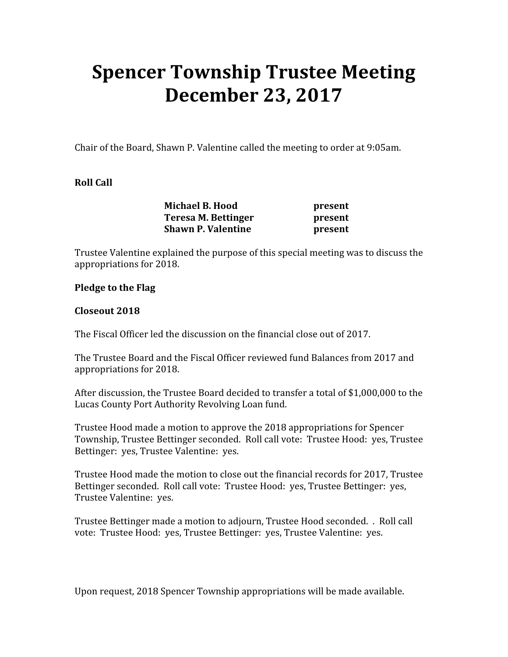# Spencer Township Trustee Meeting December 23, 2017

Chair of the Board, Shawn P. Valentine called the meeting to order at 9:05am.

### Roll Call

|  | <b>Michael B. Hood</b>    | present |
|--|---------------------------|---------|
|  | Teresa M. Bettinger       | present |
|  | <b>Shawn P. Valentine</b> | present |

Trustee Valentine explained the purpose of this special meeting was to discuss the appropriations for 2018.

#### Pledge to the Flag

#### Closeout 2018

The Fiscal Officer led the discussion on the financial close out of 2017.

The Trustee Board and the Fiscal Officer reviewed fund Balances from 2017 and appropriations for 2018.

After discussion, the Trustee Board decided to transfer a total of \$1,000,000 to the Lucas County Port Authority Revolving Loan fund.

Trustee Hood made a motion to approve the 2018 appropriations for Spencer Township, Trustee Bettinger seconded. Roll call vote: Trustee Hood: yes, Trustee Bettinger: yes, Trustee Valentine: yes.

Trustee Hood made the motion to close out the financial records for 2017, Trustee Bettinger seconded. Roll call vote: Trustee Hood: yes, Trustee Bettinger: yes, Trustee Valentine: yes.

Trustee Bettinger made a motion to adjourn, Trustee Hood seconded. . Roll call vote: Trustee Hood: yes, Trustee Bettinger: yes, Trustee Valentine: yes.

Upon request, 2018 Spencer Township appropriations will be made available.